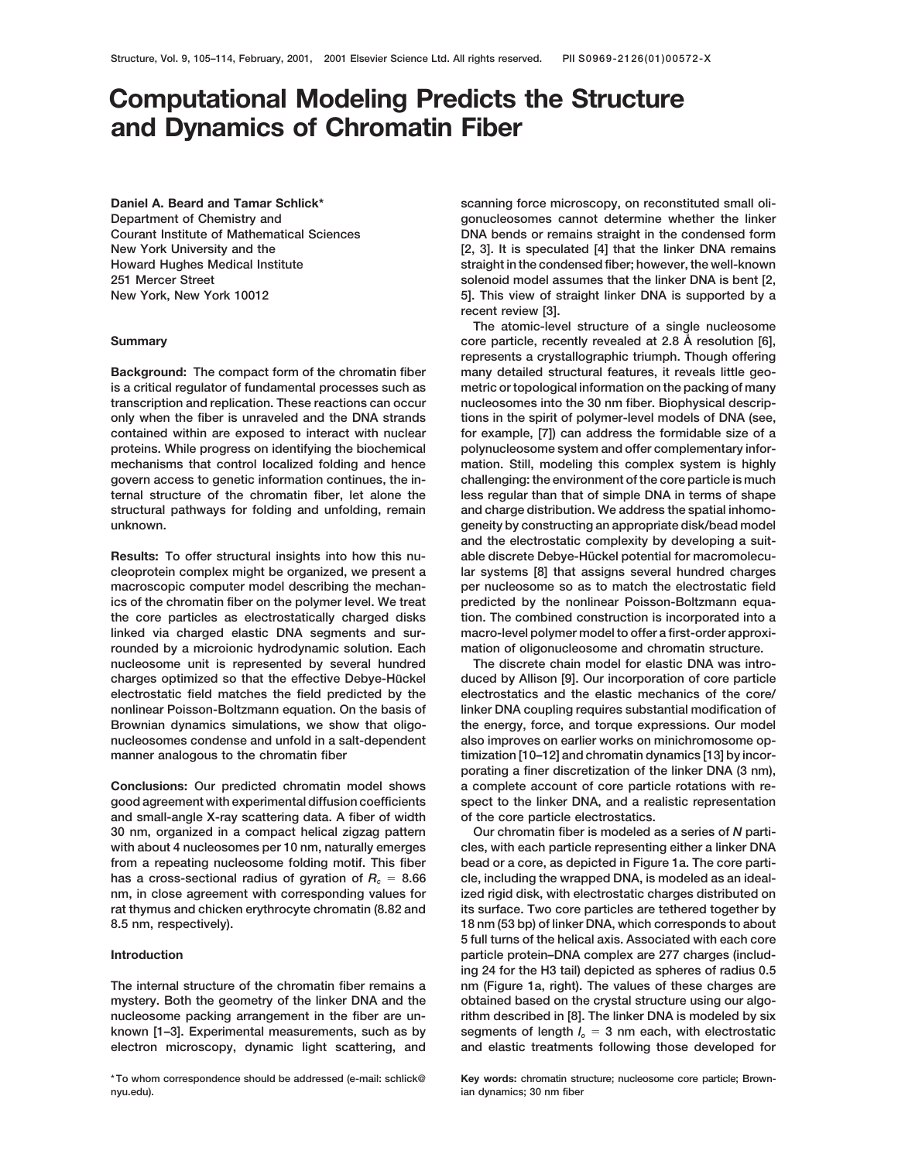# **Computational Modeling Predicts the Structure and Dynamics of Chromatin Fiber**

**Daniel A. Beard and Tamar Schlick\* Department of Chemistry and Courant Institute of Mathematical Sciences**

**is a critical regulator of fundamental processes such as metric or topological information on the packing of many transcription and replication. These reactions can occur nucleosomes into the 30 nm fiber. Biophysical descriponly when the fiber is unraveled and the DNA strands tions in the spirit of polymer-level models of DNA (see, contained within are exposed to interact with nuclear for example, [7]) can address the formidable size of a proteins. While progress on identifying the biochemical polynucleosome system and offer complementary informechanisms that control localized folding and hence mation. Still, modeling this complex system is highly govern access to genetic information continues, the in- challenging: the environment of the core particle is much ternal structure of the chromatin fiber, let alone the less regular than that of simple DNA in terms of shape structural pathways for folding and unfolding, remain and charge distribution. We address the spatial inhomounknown. geneity by constructing an appropriate disk/bead model**

**cleoprotein complex might be organized, we present a lar systems [8] that assigns several hundred charges macroscopic computer model describing the mechan- per nucleosome so as to match the electrostatic field ics of the chromatin fiber on the polymer level. We treat predicted by the nonlinear Poisson-Boltzmann equathe core particles as electrostatically charged disks tion. The combined construction is incorporated into a linked via charged elastic DNA segments and sur- macro-level polymer model to offer a first-order approxirounded by a microionic hydrodynamic solution. Each mation of oligonucleosome and chromatin structure. nucleosome unit is represented by several hundred The discrete chain model for elastic DNA was introcharges optimized so that the effective Debye-Hückel duced by Allison [9]. Our incorporation of core particle electrostatic field matches the field predicted by the electrostatics and the elastic mechanics of the core/ nonlinear Poisson-Boltzmann equation. On the basis of linker DNA coupling requires substantial modification of Brownian dynamics simulations, we show that oligo- the energy, force, and torque expressions. Our model nucleosomes condense and unfold in a salt-dependent also improves on earlier works on minichromosome op-**

**good agreement with experimental diffusion coefficients spect to the linker DNA, and a realistic representation and small-angle X-ray scattering data. A fiber of width of the core particle electrostatics. 30 nm, organized in a compact helical zigzag pattern Our chromatin fiber is modeled as a series of** *N* **partiwith about 4 nucleosomes per 10 nm, naturally emerges cles, with each particle representing either a linker DNA from a repeating nucleosome folding motif. This fiber bead or a core, as depicted in Figure 1a. The core parti**has a cross-sectional radius of gyration of  $R_c = 8.66$  cle, including the wrapped DNA, is modeled as an ideal**nm, in close agreement with corresponding values for ized rigid disk, with electrostatic charges distributed on rat thymus and chicken erythrocyte chromatin (8.82 and its surface. Two core particles are tethered together by 8.5 nm, respectively). 18 nm (53 bp) of linker DNA, which corresponds to about**

**mystery. Both the geometry of the linker DNA and the obtained based on the crystal structure using our algonucleosome packing arrangement in the fiber are un- rithm described in [8]. The linker DNA is modeled by six known [1–3]. Experimental measurements, such as by segments of length** *lo* 5 **3 nm each, with electrostatic electron microscopy, dynamic light scattering, and and elastic treatments following those developed for**

**scanning force microscopy, on reconstituted small oligonucleosomes cannot determine whether the linker DNA bends or remains straight in the condensed form** New York University and the **EXA is speculated [4]** that the linker DNA remains **Howard Hughes Medical Institute straight in the condensed fiber; however, the well-known 251 Mercer Street solenoid model assumes that the linker DNA is bent [2, New York, New York 10012 5]. This view of straight linker DNA is supported by a recent review [3].**

**The atomic-level structure of a single nucleosome core particle, recently revealed at 2.8 Å** resolution [6], **Summary resolution [6]**, **represents a crystallographic triumph. Though offering Background: The compact form of the chromatin fiber many detailed structural features, it reveals little geoand the electrostatic complexity by developing a suit-**Results: To offer structural insights into how this nu-<br>
able discrete Debye-Hückel potential for macromolecu-

manner analogous to the chromatin fiber **the chromatin filmization** [10–12] and chromatin dynamics [13] by incor**porating a finer discretization of the linker DNA (3 nm), Conclusions: Our predicted chromatin model shows a complete account of core particle rotations with re-**

**5 full turns of the helical axis. Associated with each core Introduction particle protein–DNA complex are 277 charges (including 24 for the H3 tail) depicted as spheres of radius 0.5 The internal structure of the chromatin fiber remains a nm (Figure 1a, right). The values of these charges are**

**nyu.edu). ian dynamics; 30 nm fiber**

**<sup>\*</sup> To whom correspondence should be addressed (e-mail: schlick@ Key words: chromatin structure; nucleosome core particle; Brown-**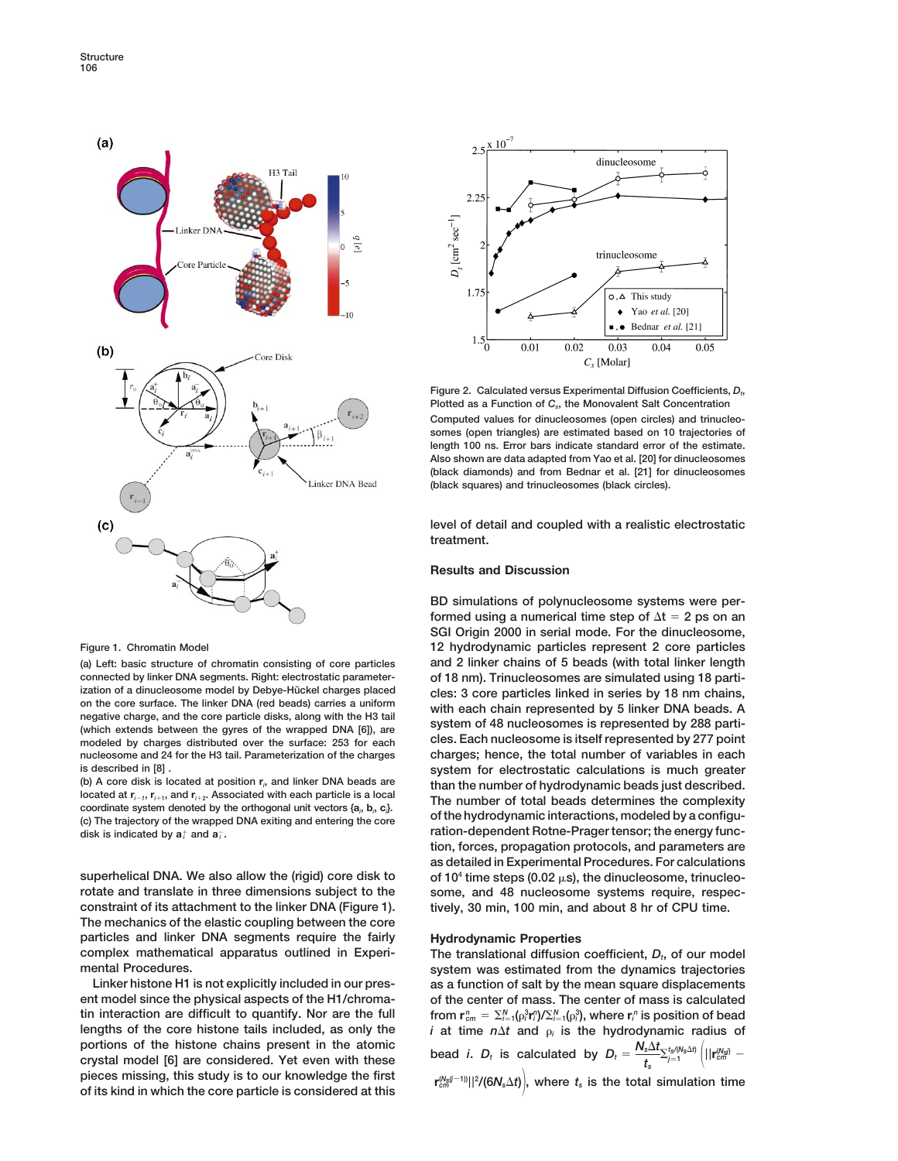

**connected by linker DNA segments. Right: electrostatic parameter- of 18 nm). Trinucleosomes are simulated using 18 parti**ization of a dinucleosome model by Debye-Hückel charges placed<br>
on the core surface. The linker DNA (red beads) carries a uniform<br>
negative charge, and the core particle disks, along with the H3 tail<br>
(which each chain rep modeled by charges distributed over the surface: 253 for each **nucleosome and 24 for the H3 tail. Parameterization of the charges charges; hence, the total number of variables in each**

**(b) A core disk is located at position r***<sup>i</sup>* Free hydrodynamic interactions, modeled by the orthogonal unit vectors {a<sub>i</sub>, b<sub>i</sub>, c<sub>i</sub>}.<br> **Example of the hydrodynamic interactions, modeled by a configu-<br>
(c) The trajectory of the wrapped DNA exiting and entering the c** disk is indicated by  $a_i^+$  and  $a_i^-$ .

**rotate and translate in three dimensions subject to the some, and 48 nucleosome systems require, respecconstraint of its attachment to the linker DNA (Figure 1). tively, 30 min, 100 min, and about 8 hr of CPU time. The mechanics of the elastic coupling between the core particles and linker DNA segments require the fairly Hydrodynamic Properties complex mathematical apparatus outlined in Experi- The translational diffusion coefficient,** *Dt***, of our model**

**ent model since the physical aspects of the H1/chroma- of the center of mass. The center of mass is calculated tin interaction are difficult to quantify. Nor are the full lengths of the core histone tails included, as only the** *i* at time  $n\Delta t$  and  $\rho_i$  is the hydrodynamic radius of portions of the histone chains present in the atomic portions of the histone chains present in the atomic<br>crystal model [6] are considered. Yet even with these  $\qquad$  bead *i*.  $D_t$  is calculated by  $D_t = \frac{N_s \Delta t}{t_s} \sum_{j=1}^{t_s/(N_s \Delta t)} \left( ||\mathbf{r}_{cm}^{(N_s)}$  $p$  ieces missing, this study is to our knowledge the first **of its kind in which the core particle is considered at this**



Figure 2. Calculated versus Experimental Diffusion Coefficients,  $D_t$ , **Plotted as a Function of** *Cs***, the Monovalent Salt Concentration Computed values for dinucleosomes (open circles) and trinucleosomes (open triangles) are estimated based on 10 trajectories of length 100 ns. Error bars indicate standard error of the estimate. Also shown are data adapted from Yao et al. [20] for dinucleosomes (black diamonds) and from Bednar et al. [21] for dinucleosomes (black squares) and trinucleosomes (black circles).**

**level of detail and coupled with a realistic electrostatic treatment.**

## **Results and Discussion**

**BD simulations of polynucleosome systems were performed using a numerical time step of**  $\Delta t = 2$  ps on an **SGI Origin 2000 in serial mode. For the dinucleosome, Figure 1. Chromatin Model 12 hydrodynamic particles represent 2 core particles (a) Left: basic structure of chromatin consisting of core particles and 2 linker chains of 5 beads (with total linker length is described in [8] . system for electrostatic calculations is much greater** (b) A core disk is located at position  $r_i$ , and linker DNA beads are<br>located at  $r_{i-1}$ ,  $r_{i+1}$ , and  $r_{i+2}$ . Associated with each particle is a local<br>coordinate system denoted by the orthogonal unit vectors  $\{a_i, b_i$  $r$  ration-dependent Rotne-Prager tensor; the energy func**tion, forces, propagation protocols, and parameters are as detailed in Experimental Procedures. For calculations** superhelical DNA. We also allow the (rigid) core disk to of 10<sup>4</sup> time steps (0.02 μs), the dinucleosome, trinucleo-

**mental Procedures. system was estimated from the dynamics trajectories Linker histone H1 is not explicitly included in our pres- as a function of salt by the mean square displacements**  $C_{cm}^{n} = \sum_{i=1}^{N} (\rho_{i}^{3} \mathbf{r}_{i}^{n}) / \sum_{i=1}^{N} (\rho_{i}^{3})$ , where  $\mathbf{r}_{i}^{n}$  is position of bead  $\mathcal{V}(\mathsf{6}N_{\mathrm{s}}\Delta t)\Big|$ , where  $t_{\mathrm{s}}$  is the total simulation time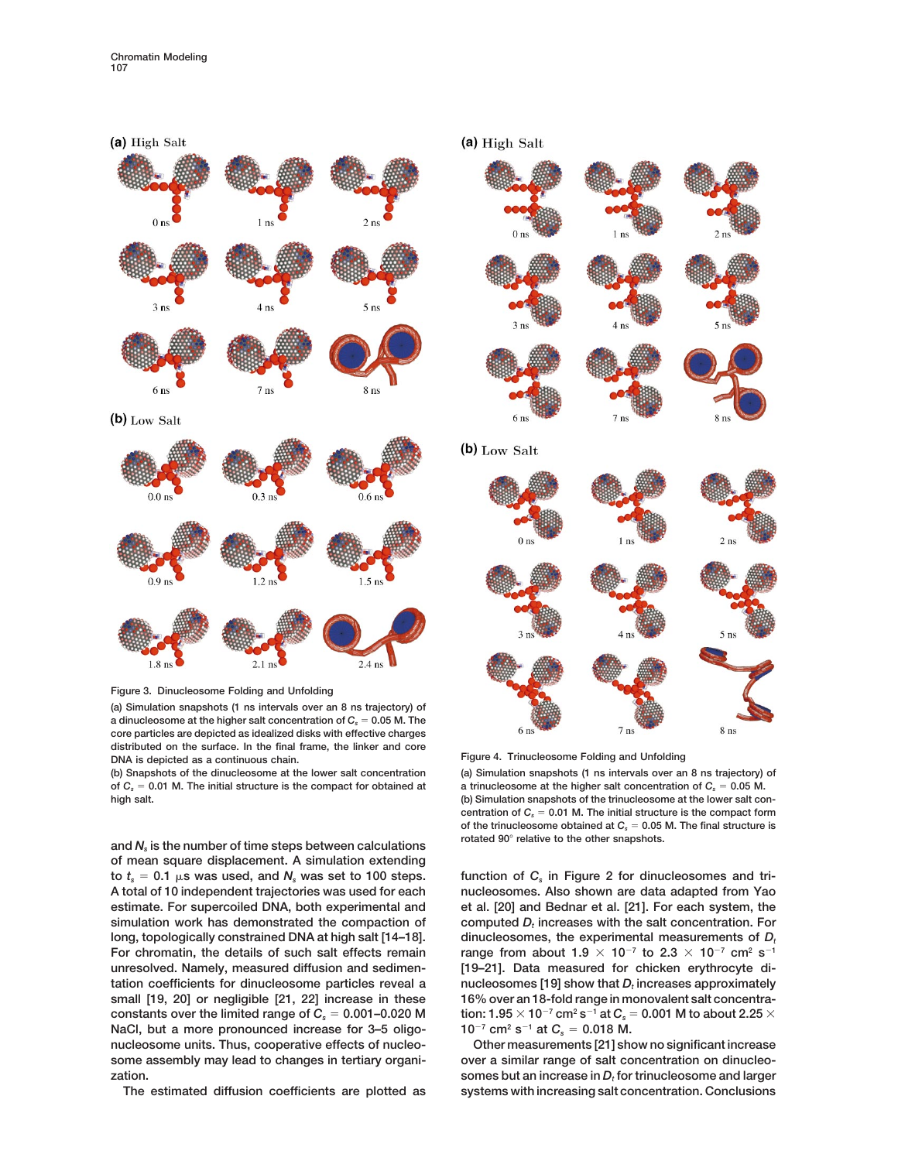





**(a) Simulation snapshots (1 ns intervals over an 8 ns trajectory) of a dinucleosome at the higher salt concentration of**  $C_5 = 0.05$  **M. The core particles are depicted as idealized disks with effective charges distributed on the surface. In the final frame, the linker and core DNA is depicted as a continuous chain. Figure 4. Trinucleosome Folding and Unfolding**

**(b) Snapshots of the dinucleosome at the lower salt concentration (a) Simulation snapshots (1 ns intervals over an 8 ns trajectory) of** of  $C_s = 0.01$  M. The initial structure is the compact for obtained at a trinucleosome at the higher salt concentration of  $C_s = 0.05$  M.

**rotated 90**<sup>8</sup> **relative to the other snapshots. and** *Ns* **is the number of time steps between calculations of mean square displacement. A simulation extending**  $\tau$  to  $t_s = 0.1$   $\mu$ s was used, and  $N_s$  was set to 100 steps. function of  $C_s$  in Figure 2 for dinucleosomes and tri-**A total of 10 independent trajectories was used for each nucleosomes. Also shown are data adapted from Yao estimate. For supercoiled DNA, both experimental and et al. [20] and Bednar et al. [21]. For each system, the**  $s$  imulation work has demonstrated the compaction of computed  $D<sub>f</sub>$  increases with the salt concentration. For long, topologically constrained DNA at high salt [14–18]. dinucleosomes, the experimental measurements of  $D_t$ For chromatin, the details of such salt effects remain range from about  $1.9 \times 10^{-7}$  to  $2.3 \times 10^{-7}$  cm<sup>2</sup> s<sup>-1</sup> **unresolved. Namely, measured diffusion and sedimen- [19–21]. Data measured for chicken erythrocyte dihatable coefficients for dinucleosome particles reveal a inucleosomes** [19] show that D<sub>i</sub> increases approximately **small [19, 20] or negligible [21, 22] increase in these 16% over an 18-fold range in monovalent salt concentra**constants over the limited range of  $C_s = 0.001 - 0.020$  M  $\qquad$  tion:  $1.95 \times 10^{-7}$  cm<sup>2</sup> s<sup>-1</sup> at  $C_s = 0.001$  M to about 2.25  $\times$ **NaCl, but a more pronounced increase for 3–5 oligo-**  $10^{-7}$  cm<sup>2</sup> s<sup>-1</sup> at  $C_s = 0.018$  M. **nucleosome units. Thus, cooperative effects of nucleo- Other measurements [21] show no significant increase** some assembly may lead to changes in tertiary organi-<br>
over a similar range of salt concentration on dinucleo**zation. somes but an increase in** *Dt* **for trinucleosome and larger**

**high salt. (b) Simulation snapshots of the trinucleosome at the lower salt con**centration of  $C_s = 0.01$  M. The initial structure is the compact form of the trinucleosome obtained at  $C_s = 0.05$  M. The final structure is

**The estimated diffusion coefficients are plotted as systems with increasing salt concentration. Conclusions**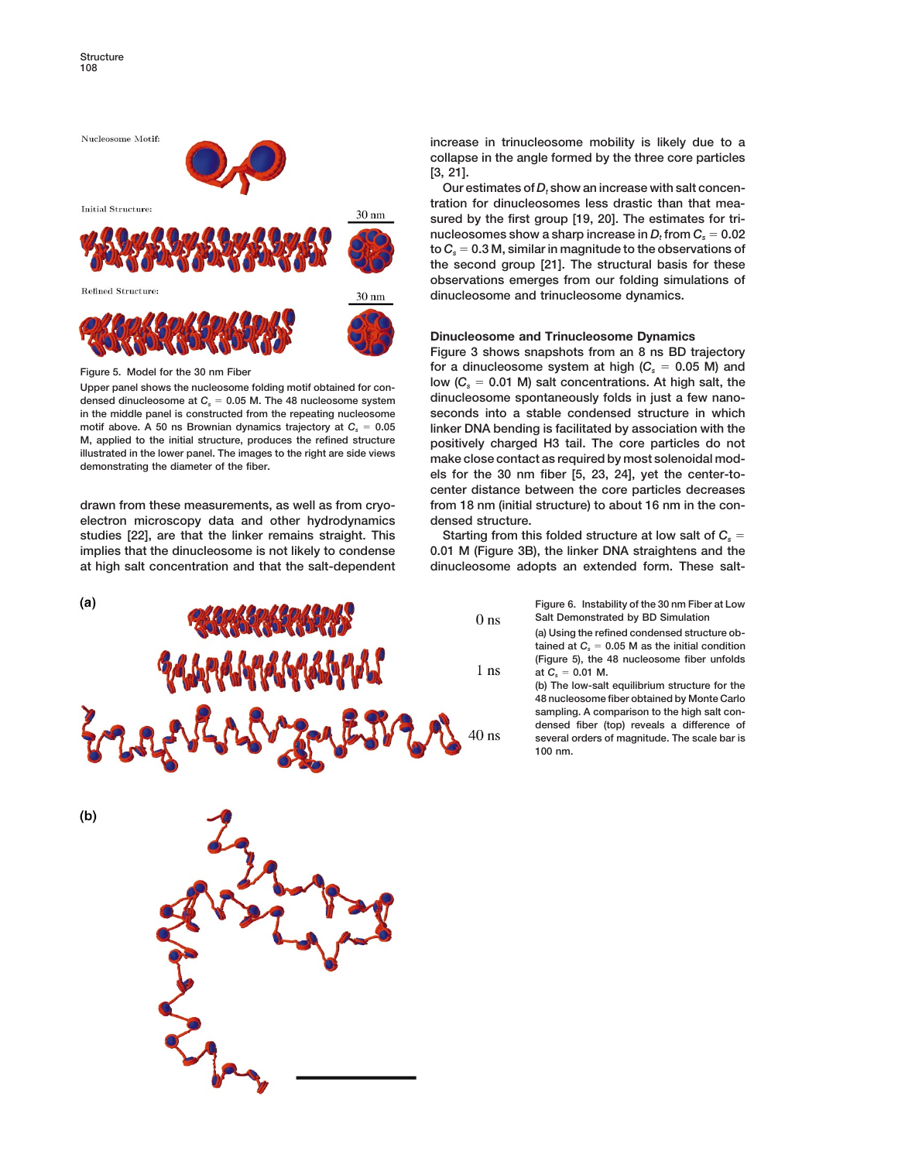

**densed dinucleosome at**  $C_s = 0.05$  **M. The 48 nucleosome system in the middle panel is constructed from the repeating nucleosome seconds into a stable condensed structure in which** motif above. A 50 ns Brownian dynamics trajectory at  $C_s = 0.05$  **linker DNA bending is facilitated by association with the**<br>M, applied to the initial structure, produces the refined structure positively charged H3 tail. Th

**electron microscopy data and other hydrodynamics densed structure.** studies [22], are that the linker remains straight. This Starting from this folded structure at low salt of  $C_s$  = **implies that the dinucleosome is not likely to condense 0.01 M (Figure 3B), the linker DNA straightens and the at high salt concentration and that the salt-dependent dinucleosome adopts an extended form. These salt-**



**increase in trinucleosome mobility is likely due to a collapse in the angle formed by the three core particles [3, 21].**

Our estimates of  $D_t$  show an increase with salt concen**tration for dinucleosomes less drastic than that measured by the first group [19, 20]. The estimates for tri**nucleosomes show a sharp increase in  $D_t$  from  $C_s = 0.02$  $\mathbf{t} \circ \mathbf{C}_s = 0.3 \, \mathsf{M}$ , similar in magnitude to the observations of **the second group [21]. The structural basis for these observations emerges from our folding simulations of dinucleosome and trinucleosome dynamics.**

## **Dinucleosome and Trinucleosome Dynamics**

**Figure 3 shows snapshots from an 8 ns BD trajectory figure 5.** Model for the 30 nm Fiber **Figure 5.** Model for the 30 nm Fiber **Figure 5.** Model for the puckasem folding matif obtained for sep, **Figure 10.01 M**) salt concentrations. At high salt, the Upper panel shows the nucleosome folding motif obtained for con-<br>densed dinucleosome at C<sub>r</sub> = 0.05 M. The 48 nucleosome system **and dinucleosome spontaneously folds in just a few nano-**M, applied to the initial structure, produces the refined structure<br>illustrated in the lower panel. The images to the right are side views<br>demonstrating the diameter of the fiber.<br>les for the 30 nm fiber [5, 23, 24], yet t **center distance between the core particles decreases drawn from these measurements, as well as from cryo- from 18 nm (initial structure) to about 16 nm in the con-**

**Figure 6. Instability of the 30 nm Fiber at Low Salt Demonstrated by BD Simulation (a) Using the refined condensed structure ob** $t$ ained at  $C_s = 0.05$  M as the initial condition **(Figure 5), the 48 nucleosome fiber unfolds**  $at C_s = 0.01$  M.

**(b) The low-salt equilibrium structure for the 48 nucleosome fiber obtained by Monte Carlo sampling. A comparison to the high salt condensed fiber (top) reveals a difference of several orders of magnitude. The scale bar is 100 nm.**

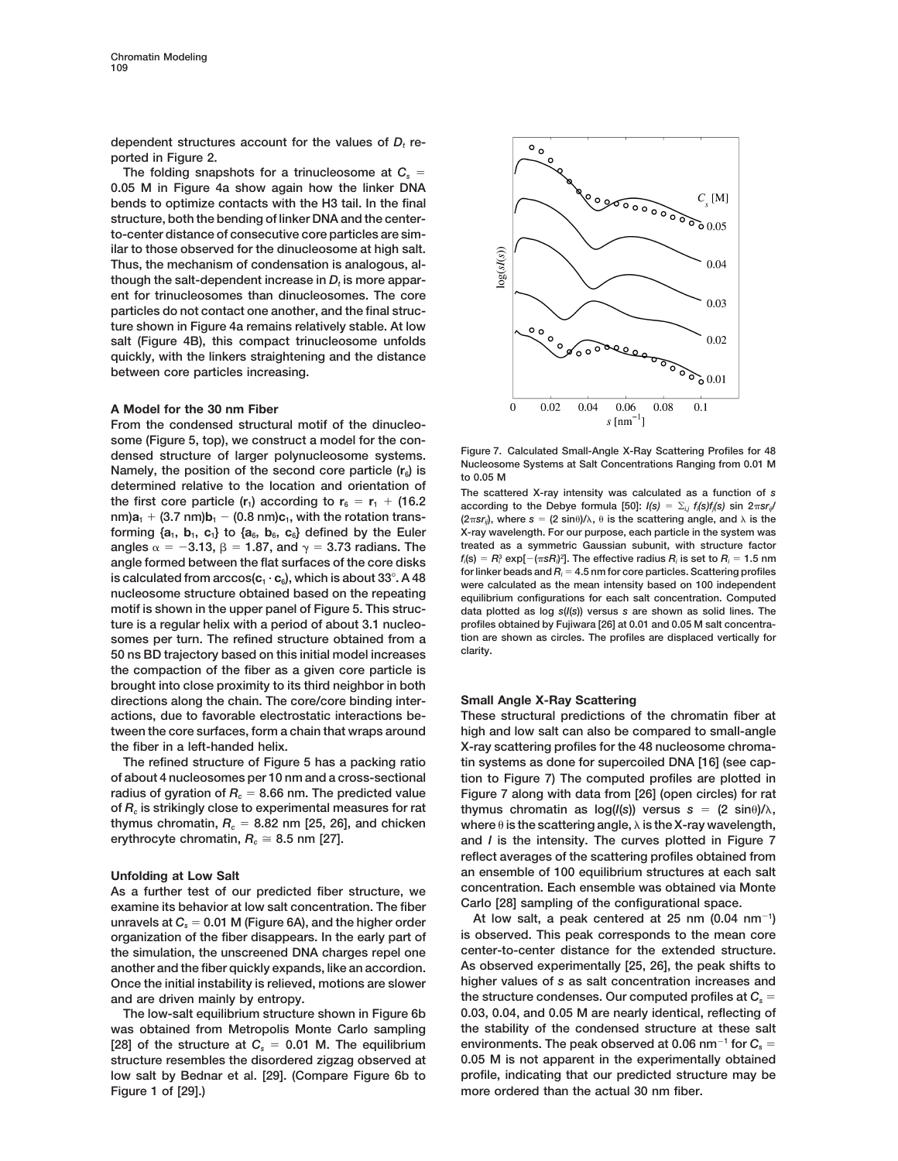dependent structures account for the values of  $D_t$  re**ported in Figure 2.**

The folding snapshots for a trinucleosome at  $C_s =$ **0.05 M in Figure 4a show again how the linker DNA bends to optimize contacts with the H3 tail. In the final structure, both the bending of linker DNA and the centerto-center distance of consecutive core particles are similar to those observed for the dinucleosome at high salt. Thus, the mechanism of condensation is analogous, al**though the salt-dependent increase in  $D_t$  is more appar**ent for trinucleosomes than dinucleosomes. The core particles do not contact one another, and the final structure shown in Figure 4a remains relatively stable. At low salt (Figure 4B), this compact trinucleosome unfolds quickly, with the linkers straightening and the distance between core particles increasing.**

## **A Model for the 30 nm Fiber**

**From the condensed structural motif of the dinucleo**some (Figure 5, top), we construct a model for the con-<br>densed structure of larger polynucleosome systems.<br>Namely, the position of the second core particle  $(r_6)$  is<br>determined relative to the location and orientation of determined relative to the location and orientation of<br>the first core particle  $(r_1)$  according to  $r_6 = r_1 + (16.2$ <br>according to the Debye formula [50]:  $I(s) = \sum_{i,j} f_i(s) f_i(s)$  sin  $2\pi s r_{ij}$ angles  $\alpha = -3.13$ ,  $\beta = 1.87$ , and  $\gamma = 3.73$  radians. The **somes per turn. The refined structure obtained from a tion are shown as constant are shown as constant are shown as clarity. clarity. 50 ns BD trajectory based on this initial model increases the compaction of the fiber as a given core particle is brought into close proximity to its third neighbor in both directions along the chain. The core/core binding inter- Small Angle X-Ray Scattering actions, due to favorable electrostatic interactions be- These structural predictions of the chromatin fiber at tween the core surfaces, form a chain that wraps around high and low salt can also be compared to small-angle the fiber in a left-handed helix. X-ray scattering profiles for the 48 nucleosome chroma-**

**of about 4 nucleosomes per 10 nm and a cross-sectional tion to Figure 7) The computed profiles are plotted in radius of gyration of** *Rc* 5 **8.66 nm. The predicted value Figure 7 along with data from [26] (open circles) for rat** of  $R_c$  is strikingly close to experimental measures for rat thymus chromatin as  $log(I(s))$  versus  $s = (2 sin\theta)/\lambda$ , thymus chromatin,  $R_c = 8.82$  nm [25, 26], and chicken where  $\theta$  is the scattering angle,  $\lambda$  is the X-ray wavelength,

As a further test of our predicted fiber structure, we concentration. Each ensemble was obtained via hexamine its behavior at low salt concentration. The fiber Carlo [28] sampling of the configurational space. **Carlo [28] sampling of the configurational space. examine its behavior at low salt concentration. The fiber** unravels at  $C_s = 0.01$  M (Figure 6A), and the higher order<br>organization of the fiber disappears. In the early part of lis observed. This peak corresponds to the mean core **organization of the fiber disappears. In the early part of is observed. This peak corresponds to the mean core** the simulation, the unscreened DNA charges repel one center-to-center distance for the extended structure.<br>
another and the fiber quickly expands, like an accordion. As observed experimentally [25, 26], the peak shifts to another and the fiber quickly expands, like an accordion. **Once the initial instability is relieved, motions are slower higher values of** *s* **as salt concentration increases and**

**Figure 1 of [29].) more ordered than the actual 30 nm fiber.**



 $nm)a_1 + (3.7 \text{ nm})b_1 - (0.8 \text{ nm})c_1$ , with the rotation trans-<br> $(2\pi s r_a)$ , where  $s = (2 \sin \theta)/\lambda$ ,  $\theta$  is the scattering angle, and  $\lambda$  is the **forming**  $\{a_1, b_1, c_1\}$  **to**  $\{a_6, b_6, c_6\}$  **defined by the Euler** X-ray wavelength. For our purpose, each particle in the system was angles  $\alpha = -3.13$ .  $\beta = 1.87$ . and  $\gamma = 3.73$  radians. The treated as a symmetric Ga  $f_i(\mathbf{s}) = R_i^3 \exp[-(\pi s R_i)^2]$ angle formed between the flat surfaces of the core disks<br>is calculated from  $\arccos(c_1 \cdot c_6)$ , which is about 33°. A 48<br>minker beads and  $R_i = 4.5$  nm for core particles. Scattering profiles<br>nucleosome structure obtained bas **motif is shown in the upper panel of Figure 5. This struc- data plotted as log** *s***(***I***(***s***)) versus** *s* **are shown as solid lines. The ture is a regular helix with a period of about 3.1 nucleo- profiles obtained by Fujiwara [26] at 0.01 and 0.05 M salt concentra-**

**The refined structure of Figure 5 has a packing ratio tin systems as done for supercoiled DNA [16] (see caperythrocyte chromatin,**  $R_c \approx 8.5$  nm [27]. **and** *I* is the intensity. The curves plotted in Figure 7 **reflect averages of the scattering profiles obtained from** Unfolding at Low Salt<br>As a further test of our predicted fiber structure we concentration. Each ensemble was obtained via Monte

At low salt, a peak centered at 25 nm  $(0.04 \text{ nm}^{-1})$ and are driven mainly by entropy. **the structure condenses.** Our computed profiles at  $C_s$  = **The low-salt equilibrium structure shown in Figure 6b 0.03, 0.04, and 0.05 M are nearly identical, reflecting of was obtained from Metropolis Monte Carlo sampling the stability of the condensed structure at these salt** [28] of the structure at  $C_s = 0.01$  M. The equilibrium environments. The peak observed at 0.06 nm<sup>-1</sup> for  $C_s =$ **structure resembles the disordered zigzag observed at 0.05 M is not apparent in the experimentally obtained low salt by Bednar et al. [29]. (Compare Figure 6b to profile, indicating that our predicted structure may be**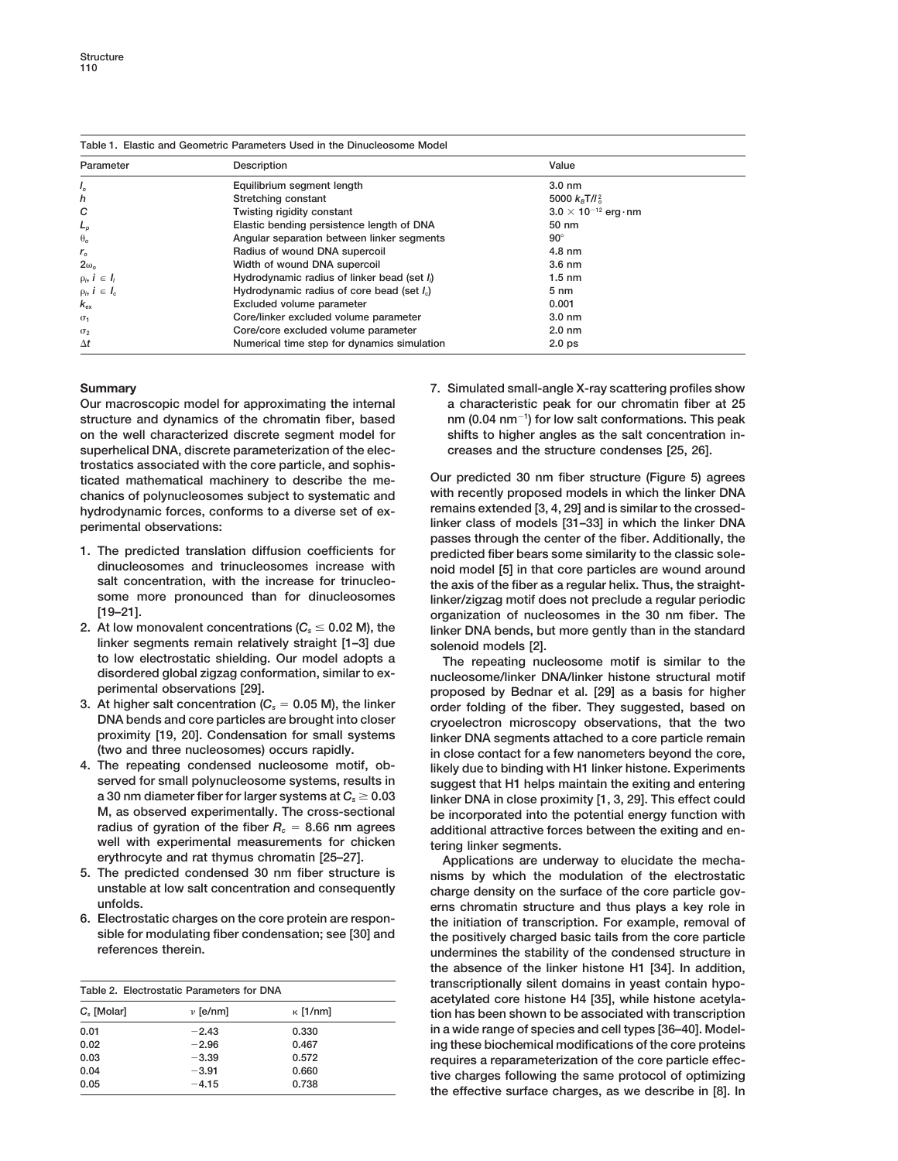| Table 1. Elastic and Geometric Parameters Used in the Dinucleosome Model |                                             |                                |  |
|--------------------------------------------------------------------------|---------------------------------------------|--------------------------------|--|
| Parameter                                                                | Description                                 | Value                          |  |
| $I_{\alpha}$                                                             | Equilibrium segment length                  | $3.0 \text{ nm}$               |  |
| h                                                                        | Stretching constant                         | 5000 $k_{\rm B}T/l_{\rm B}^2$  |  |
| C                                                                        | Twisting rigidity constant                  | $3.0 \times 10^{-12}$ erg · nm |  |
| $L_p$                                                                    | Elastic bending persistence length of DNA   | 50 nm                          |  |
| $\theta$ <sub>o</sub>                                                    | Angular separation between linker segments  | $90^\circ$                     |  |
| $r_{o}$                                                                  | Radius of wound DNA supercoil               | 4.8 nm                         |  |
| $2\omega_0$                                                              | Width of wound DNA supercoil                | $3.6 \text{ nm}$               |  |
| $\rho_i, i \in I_i$                                                      | Hydrodynamic radius of linker bead (set I)  | $1.5 \text{ nm}$               |  |
| $\rho_i, i \in I_c$                                                      | Hydrodynamic radius of core bead (set I.)   | $5 \text{ nm}$                 |  |
| $k_{\alpha x}$                                                           | Excluded volume parameter                   | 0.001                          |  |
| $\sigma_1$                                                               | Core/linker excluded volume parameter       | $3.0 \text{ nm}$               |  |
| $\sigma_{2}$                                                             | Core/core excluded volume parameter         | $2.0 \text{ nm}$               |  |
| $\Delta t$                                                               | Numerical time step for dynamics simulation | 2.0 <sub>ps</sub>              |  |

**Our macroscopic model for approximating the internal a characteristic peak for our chromatin fiber at 25** structure and dynamics of the chromatin fiber, based **on the well characterized discrete segment model for shifts to higher angles as the salt concentration insuperhelical DNA, discrete parameterization of the elec- creases and the structure condenses [25, 26]. trostatics associated with the core particle, and sophis**ticated mathematical machinery to describe the me-<br>
chanics of polynucleosomes subject to systematic and with recently proposed models in which the linker DNA chanics of polynucleosomes subject to systematic and **hydrodynamic forces, conforms to a diverse set of ex- remains extended [3, 4, 29] and is similar to the crossedperimental observations: linker class of models [31–33] in which the linker DNA**

- **1.** The predicted translation diffusion coefficients for **predicted fiber bears some similarity to the classic sole-**<br>dinucleosomes and trinucleosomes increase with poid model [5] in that core particles are wound around
- **linker segments remain relatively straight [1–3] due solenoid models [2].**
- 
- **4. The repeating condensed nucleosome motif, ob- likely due to binding with H1 linker histone. Experiments** well with experimental measurements for chicken<br>erythrocyte and rat thymus chromatin [25–27].<br>Applications are und
- 
- **6. Electrostatic charges on the core protein are respon- the initiation of transcription. For example, removal of**

| Table 2. Electrostatic Parameters for DNA |              |                 |  |
|-------------------------------------------|--------------|-----------------|--|
| C. [Molar]                                | $\nu$ [e/nm] | $\kappa$ [1/nm] |  |
| 0.01                                      | $-2.43$      | 0.330           |  |
| 0.02                                      | $-2.96$      | 0.467           |  |
| 0.03                                      | $-3.39$      | 0.572           |  |
| 0.04                                      | $-3.91$      | 0.660           |  |
| 0.05                                      | $-4.15$      | 0.738           |  |

**Summary 7. Simulated small-angle X-ray scattering profiles show ) for low salt conformations. This peak**

**passes through the center of the fiber. Additionally, the dinucleosomes and trinucleosomes increase with noid model [5] in that core particles are wound around** salt concentration, with the increase for trinucleo-<br>some more pronounced than for dinucleosomes linker/zigzag motificles not preclude a requiar periodic **some more pronounced than for dinucleosomes linker/zigzag motif does not preclude a regular periodic [19–21]. organization of nucleosomes in the 30 nm fiber. The** linker DNA bends, but more gently than in the standard

**to low electrostatic shielding. Our model adopts a The repeating nucleosome motif is similar to the disordered global zigzag conformation, similar to ex- nucleosome/linker DNA/linker histone structural motif perimental observations [29]. proposed by Bednar et al. [29] as a basis for higher** At higher salt concentration (*C<sub>s</sub>* = 0.05 M), the linker order folding of the fiber. They suggested, based on<br>DNA bends and core particles are brought into closer cryoelectron microscopy observations, that the two **DNA bends and core particles are brought into closer cryoelectron microscopy observations, that the two proximity [19, 20]. Condensation for small systems linker DNA segments attached to a core particle remain**  $\mathbf{r}$  in close contact for a few nanometers beyond the core, **served for small polynucleosome systems, results in** suggest that H1 helps maintain the exiting and entering a 30 nm diameter fiber for larger systems at  $C_s \ge 0.03$  linker DNA in close proximity [1, 3, 29]. This effect c **a** 30 nm diameter fiber for larger systems at *C<sub>s</sub>* ≥ 0.03 linker DNA in close proximity [1, 3, 29]. This effect could<br>M, as observed experimentally. The cross-sectional be incorporated into the potential energy functio M, as observed experimentally. The cross-sectional be incorporated into the potential energy function with radius of gyration of the fiber  $R_c = 8.66$  nm agrees additional attractive forces between the exiting and enadditional attractive forces between the exiting and en-

**erythrocyte and rat thymus chromatin [25–27]. Applications are underway to elucidate the mecha-5. The predicted condensed 30 nm fiber structure is nisms by which the modulation of the electrostatic unstable at low salt concentration and consequently charge density on the surface of the core particle govunfolds. erns chromatin structure and thus plays a key role in sible for modulating fiber condensation; see [30] and the positively charged basic tails from the core particle references therein. undermines the stability of the condensed structure in the absence of the linker histone H1 [34]. In addition,** transcriptionally silent domains in yeast contain hypo-<br>acetylated core histone H4 [35], while histone acetyla-*Cs* **[Molar]** n **[e/nm]** k **[1/nm] tion has been shown to be associated with transcription 0.01** 2**2.43 0.330 in a wide range of species and cell types [36–40]. Model-0.02** 2**2.96 0.467 ing these biochemical modifications of the core proteins 0.03** 2**3.39 0.572 requires a reparameterization of the core particle effec-0.04** <sup>2</sup>**3.91 0.660 tive charges following the same protocol of optimizing 0.05** <sup>2</sup>**4.15 0.738 the effective surface charges, as we describe in [8]. In**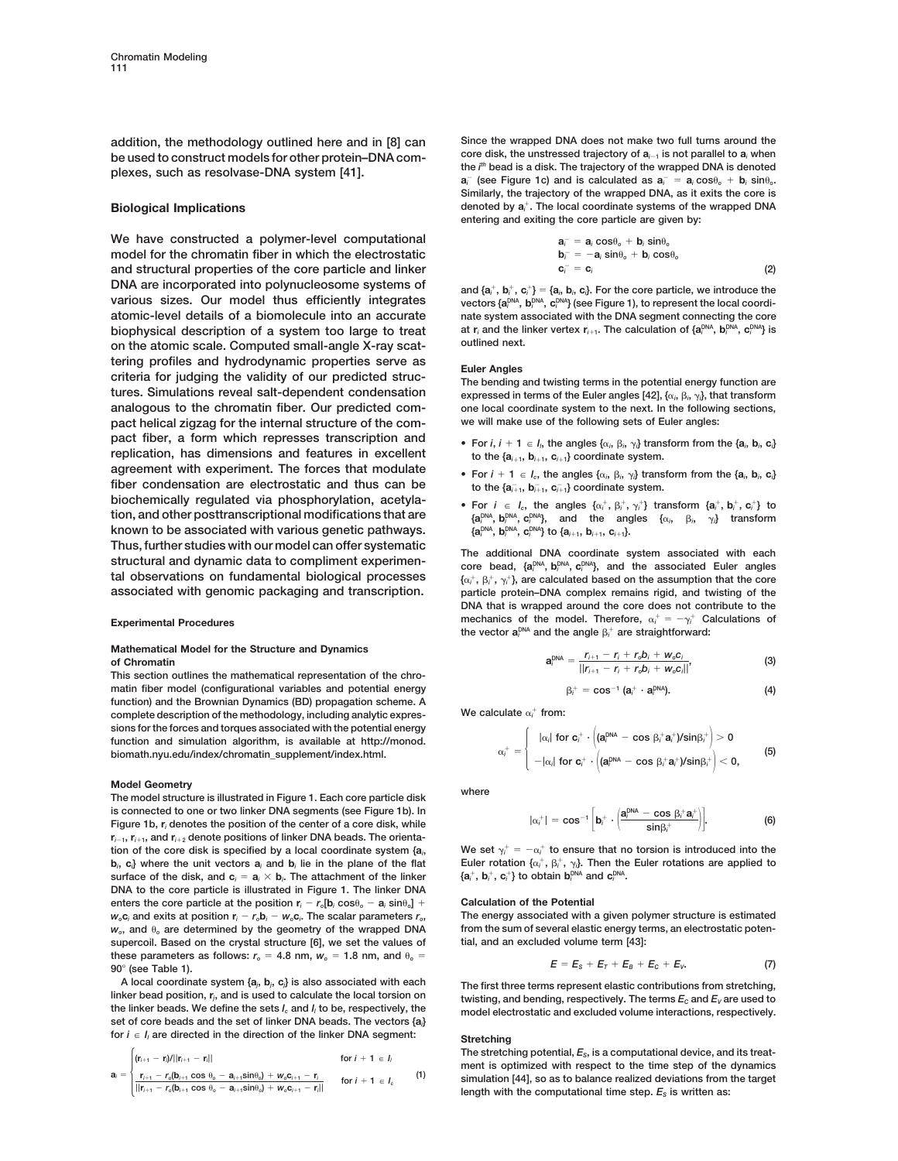**core disk, the unstressed trajectory of**  $a_{i-1}$  **is not parallel to a** when<br>**plexes**, such as resolvase-DNA system [41].

We have constructed a polymer-level computational **model for the chromatin fiber in which the electrostatic c**<sup>2</sup> **and structural properties of the core particle and linker** *<sup>i</sup>* 5 **c***<sup>i</sup>* **DNA are incorporated into polynucleosome systems of and {a**<sup>1</sup> **various sizes. Our model thus efficiently integrates atomic-level details of a biomolecule into an accurate nate system associated with the DNA segment connecting the core biophysical description of a system too large to treat** at r<sub>i</sub> and the li<br> **on the stemic socie.** Computed small, angle Y ray sect outlined next. on the atomic scale. Computed small-angle X-ray scat**tering profiles and hydrodynamic properties serve as Euler Angles criteria for judging the validity of our predicted struc- The bending and twisting terms in the potential energy function are**  $t$ ures. Simulations reveal salt-dependent condensation **analogous to the chromatin fiber. Our predicted com- one local coordinate system to the next. In the following sections, pact helical zigzag for the internal structure of the com- we will make use of the following sets of Euler angles: pact fiber, a form which represses transcription and •** For *i*, *i* + 1  $\in$  *I*<sub>n</sub> the angles  $\{\alpha_i, \beta_i, \gamma_i\}$  trans replication, has dimensions and features in excellent to the  $\{a_{i+1}, b_{i+1}, c_{i+1}\}$  coordinate sys  $t$ **replication, has dimensions and features in excellent agreement with experiment. The forces that modulate • For** *<sup>i</sup>* <sup>1</sup> **<sup>1</sup>** <sup>P</sup> *Ic***, the angles {**a*<sup>i</sup>* fiber condensation are electrostatic and thus can be **biochemically regulated via phosphorylation, acetylation, and other posttranscriptional modifications that are**  $k$ **nown to be associated with various genetic pathways.** Thus, further studies with our model can offer systematic<br>structural and dynamic data to compliment experimen-<br>examples held felled blind and the experiment experimentional para best felled blind and the experiment studes tal observations on fundamental biological processes associated with genomic packaging and transcription.

# **Mathematical Model for the Structure and Dynamics**

matin fiber model (configurational variables and potential energy **function) and the Brownian Dynamics (BD) propagation scheme. A** complete description of the methodology, including analytic expres-<br> $W$ e calculate  $\alpha_i^+$  from: **sions for the forces and torques associated with the potential energy function and simulation algorithm, is available at http://monod.** *<sup>i</sup>* <sup>2</sup> , **0, biomath.nyu.edu/index/chromatin\_supplement/index.html. (5)**

**Model Geometry where The model structure is illustrated in Figure 1. Each core particle disk is connected to one or two linker DNA segments (see Figure 1b). In** 24**. (6) Figure 1b, <sup>r</sup>***<sup>i</sup>* **denotes the position of the center of a core disk, while**  $r_{i-1}$ ,  $r_{i+1}$ , and  $r_{i+2}$  denote positions of linker DNA beads. The orientation of the core disk is specified by a local coordinate system  ${a_i}$ b<sub>i</sub>, c<sub>i</sub>} where the unit vectors a<sub>i</sub> and b<sub>i</sub> lie in the plane of the flat Euler rotation  $\{\alpha_i^+,\beta_i^+,\gamma_i\}$ . Then the Euler rotations are applied to surface of the disk, and  $\mathbf{c}_i = \mathbf{a}_i \times \mathbf{b}_i$ . The attachment of the linker  $\{ \mathbf{a}_i^+, \mathbf{b}_i^+, \mathbf{c}_i^+ \}$  to obtain  $\mathbf{b}_i^\text{DNA}$  and  $\mathbf{c}_i^\text{DNA}$ . **DNA to the core particle is illustrated in Figure 1. The linker DNA enters the core particle at the position**  $\mathbf{r}_i - \mathbf{r}_o[\mathbf{b}_i \cos \theta_o - \mathbf{a}_i \sin \theta_o] + \text{Calculation of the Potential}$  $w_o c_i$  and exits at position  $r_i - r_o b_i - w_o c_i$ . The scalar parameters  $r_o$ ,  $w_o$ , and  $\theta_o$  are determined by the geometry of the wrapped DNA **supercoil. Based on the crystal structure [6], we set the values of tial, and an excluded volume term [43]:** these parameters as follows:  $r_o = 4.8$  nm,  $w_o = 1.8$  nm, and  $\theta_o = 90^\circ$  (see Table 1).

**A local coordinate system {a***<sup>j</sup>* **, b***<sup>j</sup>* **, c***<sup>j</sup>* **} is also associated with each The first three terms represent elastic contributions from stretching, linker bead position, <sup>r</sup>***<sup>j</sup>* the linker beads. We define the sets  $l_c$  and  $l_l$  to be, respectively, the model electrostatic and excluded volume interactions, respectively.<br>set of core beads and the set of linker DNA beads. The vectors {a,} for  $i \in I_i$  are directed in the direction of the linker DNA segment: **Stretching** 

$$
\mathbf{a}_{i} = \begin{cases}\n(\mathbf{r}_{i+1} - \mathbf{r}_{j})/||\mathbf{r}_{i+1} - \mathbf{r}_{i}|| & \text{for } i + 1 \in I_{i} \\
\frac{\mathbf{r}_{i+1} - r_{o}(\mathbf{b}_{i+1} \cos \theta_{o} - \mathbf{a}_{i+1} \sin \theta_{o}) + w_{o} \mathbf{c}_{i+1} - \mathbf{r}_{i}}{||\mathbf{r}_{i+1} - r_{o}(\mathbf{b}_{i+1} \cos \theta_{o} - \mathbf{a}_{i+1} \sin \theta_{o}) + w_{o} \mathbf{c}_{i+1} - \mathbf{r}_{i}||} & \text{for } i + 1 \in I_{c}\n\end{cases}
$$

**addition, the methodology outlined here and in [8] can** Since the wrapped DNA does not make two full turns around the heused to construct models for other protein-DNA com-<br>
core disk, the unstressed trajectory of  $a_{i-1}$ plexes, such as resolvase-DNA system [41].<br> $a_i^-$  (see Figure 1c) and is calculated as  $a_i^- = a_i \cos \theta_o + b_i \sin \theta_o$ . **Similarly, the trajectory of the wrapped DNA, as it exits the core is denoted by a**<sup>1</sup> *<sup>i</sup>* **Biological Implications . The local coordinate systems of the wrapped DNA entering and exiting the core particle are given by:**

$$
\mathbf{a}_i^{\top} = \mathbf{a}_i \cos \theta_o + \mathbf{b}_i \sin \theta_o
$$
  
\n
$$
\mathbf{b}_i^{\top} = -\mathbf{a}_i \sin \theta_o + \mathbf{b}_i \cos \theta_o
$$
  
\n
$$
\mathbf{c}_i^{\top} = \mathbf{c}_i
$$
 (2)

 $i^+$ ,  $\mathbf{b}^+_i$ ,  $\mathbf{c}^+_i$ } = { $\mathbf{a}_i$ ,  $\mathbf{b}_i$ ,  $\mathbf{c}_i$ }. For the core particle, we introduce the  $\mathbf{b}_{i}^{\text{DNA}}, \mathbf{b}_{i}^{\text{DNA}}, \mathbf{c}_{i}^{\text{DNA}}\}$  (see Figure 1), to represent the local coordi- $\mathbf{a}$  **t**  $\mathbf{r}_i$  and the linker vertex  $\mathbf{r}_{i+1}$ . The calculation of { $\mathbf{a}_i^{\text{DNA}}, \mathbf{b}_i^{\text{DNA}}, \mathbf{c}_i^{\text{DNA}}$ 

 $,\beta_i, \gamma_i\}$ , that transform

- , the angles  $\{\alpha_i, \beta_i, \gamma_i\}$  transform from the  $\{\mathbf{a}_i, \mathbf{b}_i, \mathbf{c}_i\}$
- ,  $\beta_i$ ,  $\gamma_i$ } transform from the { $a_i$ ,  $b_i$ ,  $c_i$ }  $\bar{i}_{i+1}$ , **b** $\bar{i}_{i+1}$ , **c**<sub> $i+1$ </sub>} coordinate system.
- $i^+$ ,  $\beta_i^+$ ,  $\gamma_i^+$ } transform { $a_i^+$ ,  $b_i^+$ ,  $c_i^+$ } to  $P_{i}^{DA}$ ,  $\mathbf{b}_{i}^{DNA}$ ,  $\mathbf{c}_{i}^{DNA}$ }, and the angles  $\{\alpha_{i}, \beta_{i}, \gamma_{i}\}$  transform  $P_{i}^{DNA}$ , **b**<sub>*i*</sub><sup>DNA</sup>, **c**<sub>*i*</sub><sup>DNA</sup>} to {**a**<sub>*i*+1</sub>, **b**<sub>*i*+1</sub>, **c**<sub>*i*+1</sub>}.

*<sup>i</sup>* **, bDNA** *<sup>i</sup>* **, cDNA** *<sup>i</sup>* **}, and the associated Euler angles**  $i^+$ ,  $\beta_i^+$ ,  $\gamma_i^+$ }, are calculated based on the assumption that the core particle protein–DNA complex remains rigid, and twisting of the **DNA that is wrapped around the core does not contribute to the** Experimental Procedures **in the model.** Therefore,  $\alpha_i^+ = -\gamma_i^+$  Calculations of the vector  $a_i^{DNA}$  and the angle  $\beta_i^+$  are straightforward:

The linear differential equation is the mathematical representation of the chro-  
\nThis section outlines the mathematical representation of the chro-  
\n
$$
a_i^{DNA} = \frac{r_{i+1} - r_i + r_o b_i + w_o c_i}{||r_{i+1} - r_i + r_o b_i + w_o c_i||},
$$
\n(3)

$$
\beta_i^+ = \cos^{-1}(\mathbf{a}_i^+ \cdot \mathbf{a}_i^{\text{DNA}}). \tag{4}
$$

$$
\alpha_i^+ = \begin{cases}\n|\alpha_i| \text{ for } \mathbf{c}_i^+ \cdot \left( (\mathbf{a}_i^{\text{DNA}} - \cos \beta_i^+ \mathbf{a}_i^+) / \sin \beta_i^+ \right) > 0 \\
-\left| \alpha_i \right| \text{ for } \mathbf{c}_i^+ \cdot \left( (\mathbf{a}_i^{\text{DNA}} - \cos \beta_i^+ \mathbf{a}_i^+) / \sin \beta_i^+ \right) < 0,\n\end{cases}
$$
\n(5)

$$
|\alpha_i^+| = \cos^{-1}\left[\mathbf{b}_i^+ \cdot \left(\frac{\mathbf{a}_i^{\mathrm{DNA}} - \cos \beta_i^+ \mathbf{a}_i^+}{\sin \beta_i^+}\right)\right].
$$
 (6)

**i**, **we set**  $\gamma_i^+ = -\alpha_i^+$  to ensure that no torsion is introduced into the Euler rotation  $\{\alpha_i^+$ ,  $\beta_i^+$  $\{a_i^+, b_i^+, c_i^+\}$  to obtain  $b_i^{\texttt{DNA}}$  and  $c_i^{\texttt{DNA}}$ 

**. The scalar parameters** *ro***, The energy associated with a given polymer structure is estimated** *from the sum of several elastic energy terms, an electrostatic poten-*

$$
E=E_{\rm s}+E_{\rm T}+E_{\rm B}+E_{\rm C}+E_{\rm V}.
$$
 (7)

linker bead position,  $r_i$ , and is used to calculate the local torsion on **twisting, and bending, respectively.** The terms  $E_c$  and  $E_v$  are used to the linker beads. We define the sets  $l_c$  and  $l_i$  to be, respectively,

The stretching potential,  $E_s$ , is a computational device, and its treat $a_i = \begin{cases} \frac{1}{(1+i-1-i)} \cdot \frac{1}{(1+i-1-i)} & \text{if } i \neq i \end{cases}$ <br>  $a_i = \begin{cases} \frac{1}{(1+i-1-i)} \cdot \frac{1}{(1+i-1-i)} & \text{if } i \neq i \end{cases}$  (1) simulation [44], so as to balance realized deviations from the target<br>  $\frac{1}{(1+i-1-i)} \cdot \frac{1}{(1+i-1-i)} \cdot \frac{1}{(1+i-1$ length with the computational time step.  $E_s$  is written as: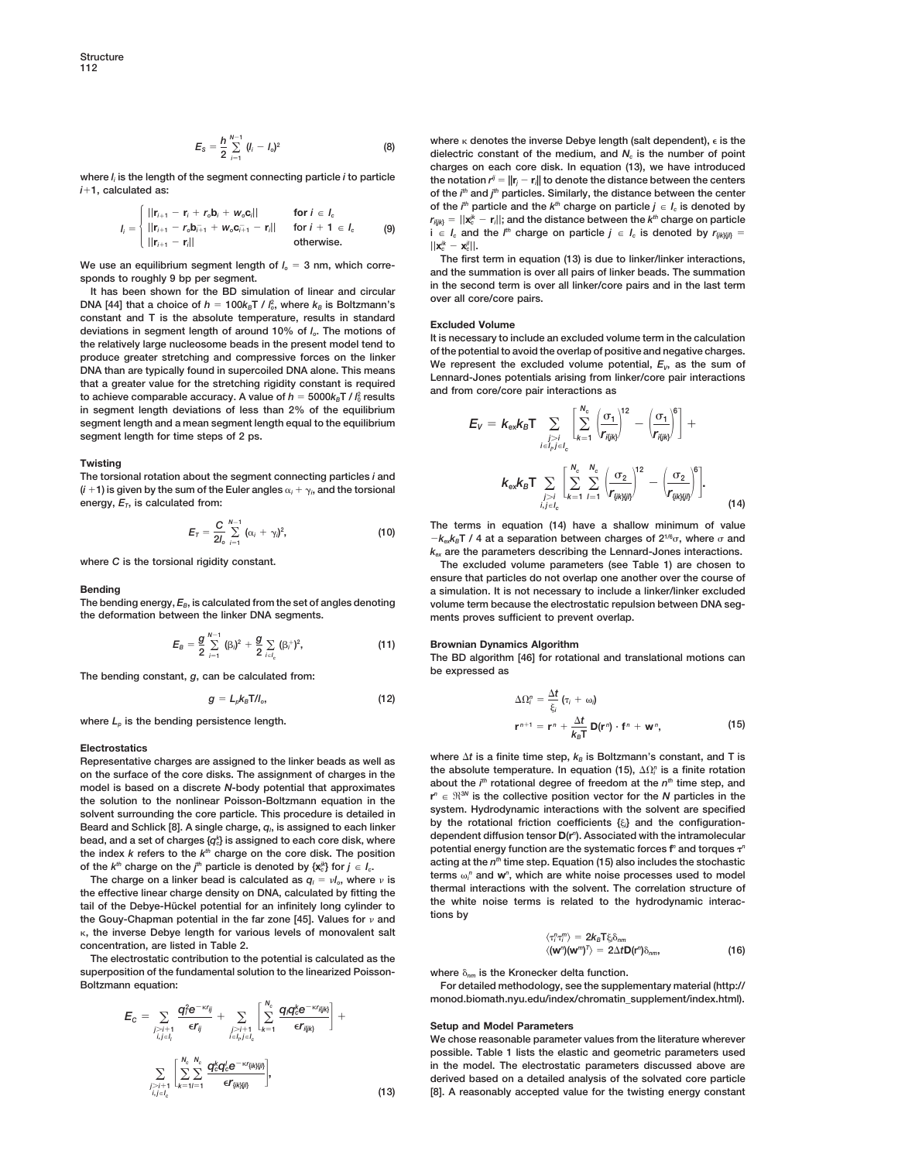$$
E_{\rm S} = \frac{h}{2} \sum_{i=1}^{N-1} (l_i - l_o)^2
$$
 (8)

**where** *li* **is the length of the segment connecting particle** *i* **to particle the notation** *rij* 5 **||r***<sup>j</sup>* 2 **r***<sup>i</sup>*  $i+1$ , calculated as:

$$
I_i = \begin{cases} ||\mathbf{r}_{i+1} - \mathbf{r}_i + r_o \mathbf{b}_i + w_o \mathbf{c}_i|| & \text{for } i \in I_c \\ ||\mathbf{r}_{i+1} - r_o \mathbf{b}_{i+1} + w_o \mathbf{c}_{i+1} - \mathbf{r}_i|| & \text{for } i + 1 \in I_c \\ ||\mathbf{r}_{i+1} - \mathbf{r}_i|| & \text{otherwise.} \end{cases}
$$
 (9)

constant and T is the absolute temperature, results in standard<br>deviations in segment length of around 10% of  $l_o$ . The motions of<br>the relatively large nucleosome beads in the present model tend to<br>produce greater stretch **2 <sup>0</sup> results in segment length deviations of less than 2% of the equilibrium segment length and a mean segment length equal to the equilibrium segment length for time steps of 2 ps.**

## **Twisting**

The torsional rotation about the segment connecting particles *i* and<br>
(*i* +1) is given by the sum of the Euler angles  $\alpha_i + \gamma_i$ , and the torsional<br>  $(k = k)$   $k_{ex}k_B T \sum_{n=1}^{\infty} \left| \sum_{n=1}^{\infty} \sum_{n=1}^{\infty} \left| \frac{\sigma_2}{r_{\text{quench$ **energy,**  $E_T$ , is calculated from:  $\sum_{i=1}^{T} E_T = (1+1)^{-\frac{1}{2}}$  (14)

$$
E_T = \frac{C}{2l_o} \sum_{i=1}^{N-1} (\alpha_i + \gamma_i)^2,
$$
 (10)

$$
E_B = \frac{g}{2} \sum_{i=1}^{N-1} (\beta_i)^2 + \frac{g}{2} \sum_{i \in I_c} (\beta_i)^2,
$$
 (11)

**be expressed as The bending constant,** *<sup>g</sup>***, can be calculated from:**

$$
g = L_p k_B T / l_o, \qquad (12)
$$

where  $L<sub>0</sub>$  is the bending persistence length.

## **Electrostatics**

 $\frac{1}{2}$  about the *i*<sup>n</sup> rotational degree of freedom at the  $n^{\text{th}}$  time step, and model is based on a discrete N-body potential that approximates the solution to the nonlinear Poisson-Boltzmann equation in the  $r^n \in \mathbb{R}^{3N}$  is the collective position vector for the N particles in the solvent surrounding the collective in solvent surrounding the collective in sol Beard and Schlick [8]. A single charge,  $q_i$ , is assigned to each linker bead, and a set of charges { $q_k^k$ } is assigned to each core disk, where the index k refers to the k<sup>th</sup> charge on the core disk. The position potential energy function are the systematic forces frame formulate here the systematic forces frame stochastic of the k<sup>th</sup> charge on the i<sup>th</sup> partic *th* particle is denoted by {**x**<sup>*jk*</sup>} for  $j \in I_c$ .  $\qquad \qquad$  deting a  $\omega$  is  $\qquad \qquad$  terms  $\omega$ 

The charge on a linker bead is calculated as  $q_l = v l_o$ , where  $v$  is<br>the effective linear charge density on DNA, calculated by fitting the<br>the mal interactions with the solvent. The correlation structure of the white noise terms is related to the hydrodynamic interactail of the Debye-Hückel potential for an infinitely long cylinder to the white noise terms is related to the hydrodynamic interactive Gouy-Chapman potential in  $k$ , the inverse Debye length for various levels of monovalent salt  $i$  **concentration, are listed in Table 2.** 

**)**d*nm***, The electrostatic contribution to the potential is calculated as the superposition of the fundamental solution to the linearized Poisson- where** d*nm* **is the Kronecker delta function.**

$$
E_{C} = \sum_{\substack{j>i+1 \ i, j \in l_{i}}} \frac{q_{i}^{2} e^{-\kappa r_{ij}}}{\epsilon r_{ij}} + \sum_{\substack{j>i+1 \ i \in l_{i} \ e^{-\kappa r_{ij}}}} \left[ \sum_{k=1}^{N_{c}} \frac{q_{i} q_{i}^{k} e^{-\kappa r_{ij} \kappa_{j}}}{\epsilon r_{ij \kappa_{j}}} \right] + \sum_{\substack{j>i+1 \ i, j \in l_{c}}} \left[ \sum_{k=1}^{N_{c}} \frac{q_{i}^{k} q_{i}^{l} e^{-\kappa r_{ij} \kappa_{j} \kappa_{j}}}{\epsilon r_{ij \kappa_{j} \kappa_{j}}} \right], \tag{13}
$$

**where k** denotes the inverse Debye length (salt dependent),  $\epsilon$  is the dielectric constant of the medium, and  $N_c$  is the number of point **charges on each core disk. In equation (13), we have introduced** the notation  $r^{ij} = ||\mathbf{r}_i - \mathbf{r}_j||$  to denote the distance between the centers *th* **and** *j th* **particles. Similarly, the distance between the center** of the  $i^{\text{th}}$  particle and the  $k^{\text{th}}$  charge on particle  $j\,\in\, I_c$  is denoted by  $r_{\vec{\textit{h}}|\textit{k}|\textit{k}} = ||\textit{\textbf{x}}^{\textit{k}}_{\textit{c}} - \textit{\textbf{r}}_{\textit{i}}||$ ; and the distance between the  $k^{\textit{th}}$  charge on particle **(9) i**  $\in$  *I<sub>c</sub>* and the *l*<sup>th</sup> charge on particle  $j \in$  *I<sub>c</sub>* is denoted by  $r_{\{i,k\}\{j\}} =$  $||\mathbf{x}_c^{ik} - \mathbf{x}_c^{jl}||.$ 

We use an equilibrium segment length of  $I_o = 3$  nm, which corre-<br>sponds to roughly 9 bp per segment.<br>It has been shown for the BD simulation of linear and circular<br>DNA [44] that a choice of  $h = 100k_B T / l_o^2$ , where  $k_B$  is

$$
E_V = k_{\text{ex}} k_B T \sum_{\substack{j>i \ l \in I_p j \in I_c}} \left[ \sum_{k=1}^{N_c} \frac{\left(\frac{\sigma_1}{r_{ijlk}}\right)^{22} - \left(\frac{\sigma_1}{r_{ijlk}}\right)^6}{\left(r_{ijlk}\right)^6} \right] +
$$

$$
k_{\text{ex}} k_B T \sum_{\substack{j>i \ l \in I_c}} \left[ \sum_{k=1}^{N_c} \sum_{l=1}^{N_c} \left(\frac{\sigma_2}{r_{ijkljl0}}\right)^{12} - \left(\frac{\sigma_2}{r_{ijkljl0}}\right)^6 \right].
$$
 (1.

The terms in equation (14) have a shallow minimum of value  $-k_{e}k_{B}T/4$  at a separation between charges of  $2^{1/6}\sigma$ , where  $\sigma$  and *kex* **are the parameters describing the Lennard-Jones interactions.**

where *C* is the torsional rigidity constant. **The excluded volume parameters (see Table 1)** are chosen to **ensure that particles do not overlap one another over the course of Bending**<br>The bending energy,  $E_B$ , is calculated from the set of angles denoting a simulation. It is not necessary to include a linker/linker excluded The bending energy,  $E_B$ , is calculated from the set of angles denoting volume term because the electrostatic repulsion between DNA seg-<br>
the deformation between the linker DNA segments.<br>
ments proves sufficient to prevent ments proves sufficient to prevent overlap.

## **Brownian Dynamics Algorithm**

**The BD algorithm [46] for rotational and translational motions can**

$$
\Delta \Omega_i^n = \frac{\Delta t}{\xi_i} \left( \tau_i + \omega_i \right)
$$
  

$$
\mathbf{r}^{n+1} = \mathbf{r}^n + \frac{\Delta t}{k_B T} \mathbf{D}(\mathbf{r}^n) \cdot \mathbf{f}^n + \mathbf{w}^n,
$$
 (15)

Expresentative charges are assigned to the linker beads as well as<br>on the surface of the core disks. The assignment of charges in the the absolute temperature. In equation (15),  $\Delta\Omega_i^p$  is a finite rotation<br>on the surfa dependent diffusion tensor  $D(r^n)$ . Associated with the intramolecular *<sup>c</sup>***} is assigned to each core disk, where potential energy function are the systematic forces <sup>f</sup>** *<sup>n</sup>* **and torques** t*<sup>n</sup>* terms  $\omega_i^n$  and  $w^n$ , which are white noise processes used to model

$$
\langle \tau_i^n \tau_i^m \rangle = 2k_B T \xi_i \delta_{nm}
$$
  

$$
\langle (\mathbf{w}^n)(\mathbf{w}^m)^T \rangle = 2\Delta t \mathbf{D}(\mathbf{r}^n) \delta_{nm},
$$
 (16)

For detailed methodology, see the supplementary material (http:// **monod.biomath.nyu.edu/index/chromatin\_supplement/index.html).**

## **Setup and Model Parameters**

**We chose reasonable parameter values from the literature wherever possible. Table 1 lists the elastic and geometric parameters used**  $\sum_{i} \sum_{i} \sum_{i} \frac{q_i^k q_i^l e^{-i\alpha f_{ijkl}}}{f_{i}^{k}}$ ,  $\sum_{i} \sum_{i} \sum_{i} \frac{q_i^k q_i^l e^{-i\alpha f_{ijkl}}}{f_{i}^{k}}$ ,  $\sum_{i} \sum_{i} \sum_{i} \frac{q_i^k q_i^l e^{-i\alpha f_{ijkl}}}{f_{i}^{k}}$ ,  $\sum_{i} \sum_{i} \sum_{i} \frac{q_i^k q_i^l e^{-i\alpha f_{ijkl}}}{f_{i}^{k}}$ ,  $\sum_{i} \sum_{i} \frac{q_i^k q_i^l e^{-i\alpha f_{ijkl}}}{f$ **(13) [8]. A reasonably accepted value for the twisting energy constant**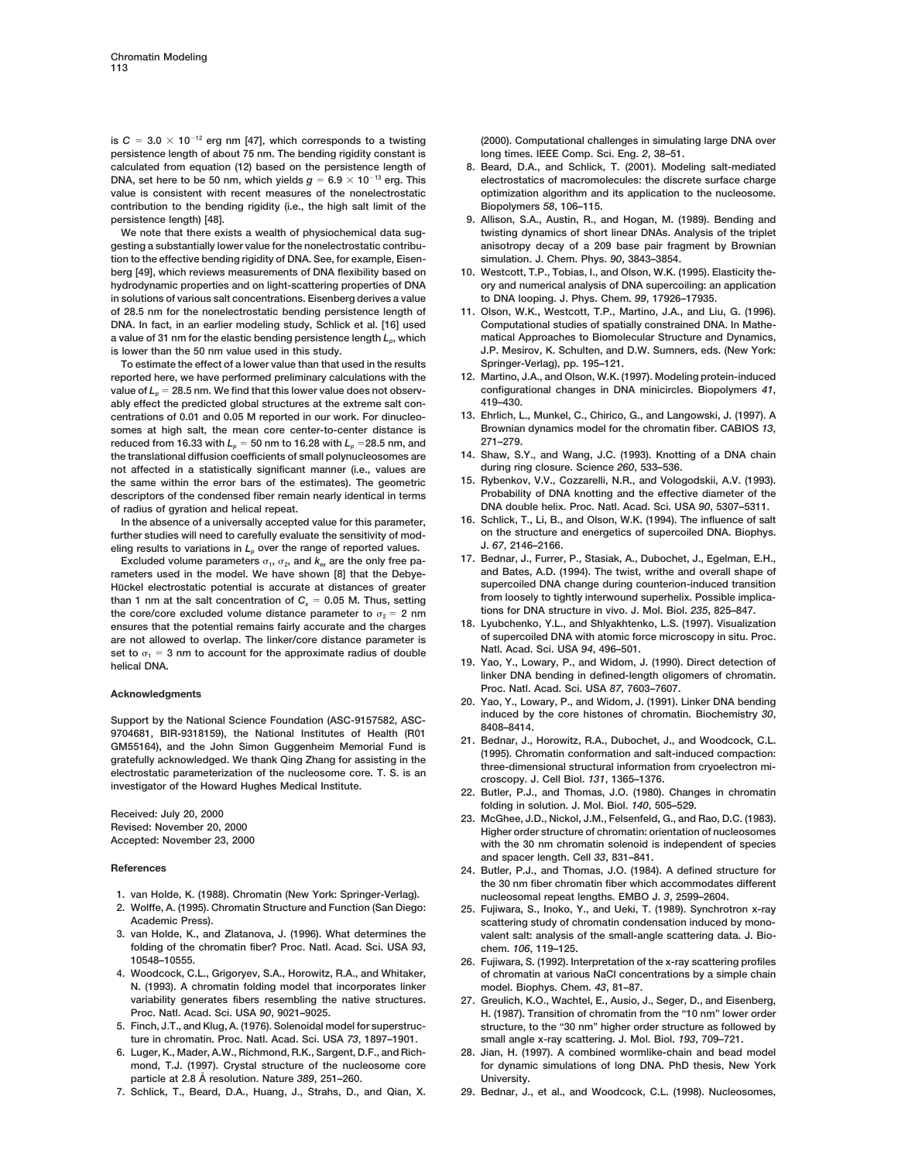is  $C = 3.0 \times 10^{-12}$  erg nm [47], which corresponds to a twisting (2000). Computational challenges in simulating large DNA over **persistence length of about 75 nm. The bending rigidity constant is long times. IEEE Comp. Sci. Eng.** *2***, 38–51.** calculated from equation (12) based on the persistence length of DNA, set here to be 50 nm, which yields  $g = 6.9 \times 10^{-13}$  erg. This electrostatics of macromolecules: the discrete surface charge **value is consistent with recent measures of the nonelectrostatic optimization algorithm and its application to the nucleosome. contribution to the bending rigidity (i.e., the high salt limit of the Biopolymers** *58***, 106–115. persistence length) [48]. 9. Allison, S.A., Austin, R., and Hogan, M. (1989). Bending and**

**gesting a substantially lower value for the nonelectrostatic contribu- anisotropy decay of a 209 base pair fragment by Brownian tion to the effective bending rigidity of DNA. See, for example, Eisen- simulation. J. Chem. Phys.** *90***, 3843–3854. berg [49], which reviews measurements of DNA flexibility based on 10. Westcott, T.P., Tobias, I., and Olson, W.K. (1995). Elasticity thehydrodynamic properties and on light-scattering properties of DNA ory and numerical analysis of DNA supercoiling: an application in solutions of various salt concentrations. Eisenberg derives a value to DNA looping. J. Phys. Chem.** *99***, 17926–17935. of 28.5 nm for the nonelectrostatic bending persistence length of 11. Olson, W.K., Westcott, T.P., Martino, J.A., and Liu, G. (1996). DNA. In fact, in an earlier modeling study, Schlick et al. [16] used Computational studies of spatially constrained DNA. In Mathe**a value of 31 nm for the elastic bending persistence length  $L_p$ , which matical Approaches to Biomolecular Structure and Dynamics, **is lower than the 50 nm value used in this study. J.P. Mesirov, K. Schulten, and D.W. Sumners, eds. (New York:**

**To estimate the effect of a lower value than that used in the results Springer-Verlag), pp. 195–121. reported here, we have performed preliminary calculations with the 12. Martino, J.A., and Olson, W.K. (1997). Modeling protein-induced** value of  $L_p = 28.5$  nm. We find that this lower value does not observ-<br>  $\frac{19-430}{2}$ .<br>
419–430. **ably effect the predicted global structures at the extreme salt con- 419–430. centrations of 0.01 and 0.05 M reported in our work. For dinucleo- 13. Ehrlich, L., Munkel, C., Chirico, G., and Langowski, J. (1997). A somes at high salt, the mean core center-to-center distance is Brownian distance is Brownian dynamics model for the chromatin field 271–279**. **reduced from 16.33 with**  $L_p = 50$  nm to 16.28 with  $L_p = 28.5$  nm, and **the translational diffusion coefficients of small polynucleosomes are 14. Shaw, S.Y., and Wang, J.C. (1993). Knotting of a DNA chain not affected in a statistically significant manner (i.e., values are during ring closure. Science** *260***, 533–536. 15. Rybenkov, V.V., Cozzarelli, N.R., and Vologodskii, A.V. (1993). the same within the error bars of the estimates). The geometric** descriptors of the condensed fiber remain nearly identical in terms **of radius of gyration and helical repeat. DNA double helix. Proc. Natl. Acad. Sci. USA** *90***, 5307–5311.**

**16. Schlick, T., Li, B., and Olson, W.K. (1994). The influence of salt In the absence of a universally accepted value for this parameter,** further studies will need to carefully evaluate the sensitivity of mod-<br>
aling results to variations in *L*, over the range of reported values<br> **1.** 67, 2146–2166. eling results to variations in  $L_p$  over the range of reported values.<br>**Figure is a proport to the only free party** on the case of the only free party of the Bednar, J., Furrer, P., Stasiak, A., Dubochet, J., Egelman, E.H.

rameters used in the model. We have shown [8] that the Debye-<br>Hückel electrostatic potential is accurate at distances of greater supercoiled DNA change during counterion-induced transition Hückel electrostatic potential is accurate at distances of greater **supercoiled DNA change during counterion-induced transition<br>
<b>Thus** setting a from loosely to tightly interwound superhelix. Possible implica-<br> **Thus** set than 1 nm at the salt concentration of  $C_s = 0.05$  M. Thus, setting the loosely to tightly interwound superhelix. Possible implicant the core/core excluded volume distance parameter to  $\sigma_s = 2$  nm tions for DNA structure in the core/core excluded volume distance parameter to  $\sigma_2 = 2 \text{ nm}$  tions for DNA structure in vivo. J. Mol. Biol. 235, 825–847.<br> **onsures that the potential ramains fairly accurate and the charges and the structure of the 18. Lyubchenko, Y.L., and Shlyakhtenko, L.S. (1997). Visualization ensures that the potential remains fairly accurate and the charges** are not allowed to overlap. The linker/core distance parameter is<br>set to  $\sigma_1 = 3$  nm to account for the approximate radius of double<br>helical DNA. ISA 94, 496-501.<br>helical DNA. Discussion of the approximate radius of doub

Support by the National Science Foundation (ASC-9157582, ASC-<br>
9704681, BIR-9318159), the National Institutes of Health (R01<br>
GM55164), and the John Simon Guggenheim Memorial Fund is<br>
gratefully acknowledged. We thank Qing

- 
- 
- **folding of the chromatin fiber? Proc. Natl. Acad. Sci. USA** *93***, chem.** *106***, 119–125. 10548–10555. 26. Fujiwara, S. (1992). Interpretation of the x-ray scattering profiles**
- **N. (1993). A chromatin folding model that incorporates linker model. Biophys. Chem.** *43***, 81–87. variability generates fibers resembling the native structures. 27. Greulich, K.O., Wachtel, E., Ausio, J., Seger, D., and Eisenberg,**
- 
- **6. Luger, K., Mader, A.W., Richmond, R.K., Sargent, D.F., and Rich- 28. Jian, H. (1997). A combined wormlike-chain and bead model particle at 2.8 A˚ resolution. Nature** *389***, 251–260. University.**
- **7. Schlick, T., Beard, D.A., Huang, J., Strahs, D., and Qian, X. 29. Bednar, J., et al., and Woodcock, C.L. (1998). Nucleosomes,**

- 
- **We note that there exists a wealth of physiochemical data sug- twisting dynamics of short linear DNAs. Analysis of the triplet**
	-
	-
	-
	-
	-
	-
	-
- Excluded volume parameters  $\sigma_1$ ,  $\sigma_2$ , and  $k_{ex}$  are the only free pa- 17. Bednar, J., Furrer, P., Stasiak, A., Dubochet, J., Egelman, E.H., Eth., 2001 Comparters used in the model. We have shown [8] that the Debye- a
	-
- **linker DNA bending in defined-length oligomers of chromatin. Proc. Natl. Acad. Sci. USA** *<sup>87</sup>***, 7603–7607. Acknowledgments 20. Yao, Y., Lowary, P., and Widom, J. (1991). Linker DNA bending**
	-
	-
	-
- Feceived: July 20, 2000<br>
Revised: November 20, 2000<br>
Revised: November 20, 2000<br>
Accepted: November 23, 2000<br>
Accepted: November 23, 2000<br>
Accepted: November 23, 2000<br>
Accepted: November 23, 2000<br>
Accepted: November 23, 20 **and spacer length. Cell** *33***, 831–841.**
- **References 24. Butler, P.J., and Thomas, J.O. (1984). A defined structure for the 30 nm fiber chromatin fiber which accommodates different 1. van Holde, K. (1988). Chromatin (New York: Springer-Verlag). nucleosomal repeat lengths. EMBO J.** *3***, 2599–2604.**
- 25. Fujiwara, S., Inoko, Y., and Ueki, T. (1989). Synchrotron x-ray **Academic Press). scattering study of chromatin condensation induced by mono-3. van Holde, K., and Zlatanova, J. (1996). What determines the valent salt: analysis of the small-angle scattering data. J. Bio-**
- **4. Woodcock, C.L., Grigoryev, S.A., Horowitz, R.A., and Whitaker, of chromatin at various NaCl concentrations by a simple chain**
- **Proc. Natl. Acad. Sci. USA** *90***, 9021–9025. H. (1987). Transition of chromatin from the "10 nm" lower order 5. Finch, J.T., and Klug, A. (1976). Solenoidal model for superstruc- structure, to the "30 nm" higher order structure as followed by ture in chromatin. Proc. Natl. Acad. Sci. USA** *73***, 1897–1901. small angle x-ray scattering. J. Mol. Biol.** *193***, 709–721.**
	- **mond, T.J. (1997). Crystal structure of the nucleosome core for dynamic simulations of long DNA. PhD thesis, New York**
		-